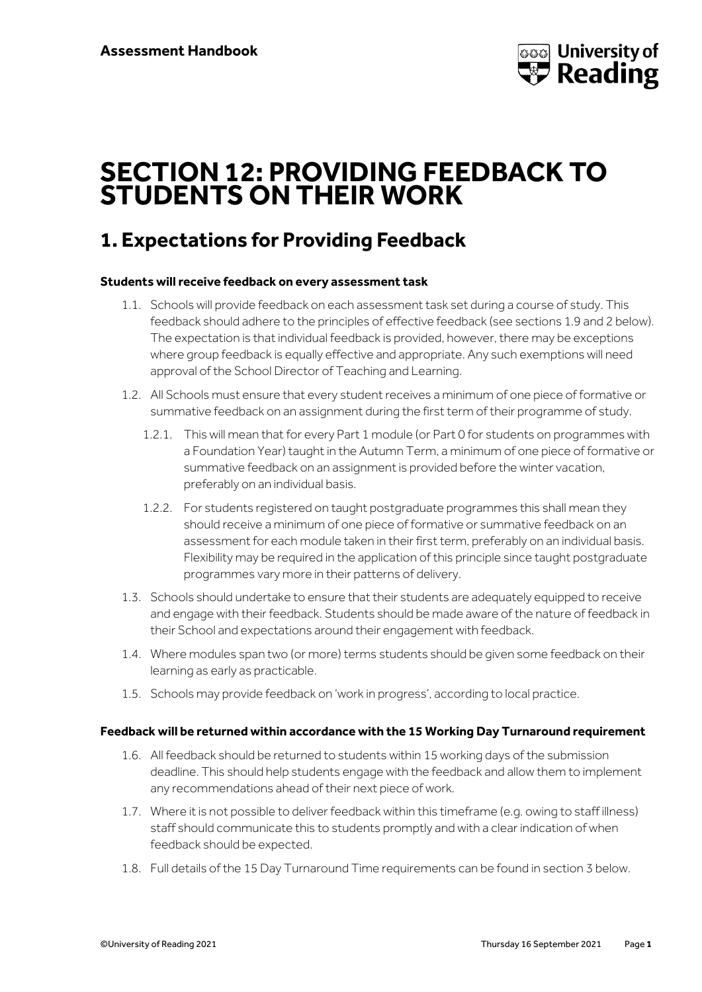

# **SECTION 12: PROVIDING FEEDBACK TO STUDENTS ON THEIR WORK**

## **1. Expectations for Providing Feedback**

## **Students will receive feedback on every assessment task**

- 1.1. Schools will provide feedback on each assessment task set during a course of study. This feedback should adhere to the principles of effective feedback (see sections 1.9 and 2 below). The expectation is that individual feedback is provided, however, there may be exceptions where group feedback is equally effective and appropriate. Any such exemptions will need approval of the School Director of Teaching and Learning.
- 1.2. All Schools must ensure that every student receives a minimum of one piece of formative or summative feedback on an assignment during the first term of their programme of study.
	- 1.2.1. This will mean that for every Part 1 module (or Part 0 for students on programmes with a Foundation Year) taught in the Autumn Term, a minimum of one piece of formative or summative feedback on an assignment is provided before the winter vacation, preferably on an individual basis.
	- 1.2.2. For students registered on taught postgraduate programmes this shall mean they should receive a minimum of one piece of formative or summative feedback on an assessment for each module taken in their first term, preferably on an individual basis. Flexibility may be required in the application of this principle since taught postgraduate programmes vary more in their patterns of delivery.
- 1.3. Schools should undertake to ensure that their students are adequately equipped to receive and engage with their feedback. Students should be made aware of the nature of feedback in their School and expectations around their engagement with feedback.
- 1.4. Where modules span two (or more) terms students should be given some feedback on their learning as early as practicable.
- 1.5. Schools may provide feedback on 'work in progress', according to local practice.

### **Feedback will be returned within accordance with the 15 Working Day Turnaround requirement**

- 1.6. All feedback should be returned to students within 15 working days of the submission deadline. This should help students engage with the feedback and allow them to implement any recommendations ahead of their next piece of work.
- 1.7. Where it is not possible to deliver feedback within this timeframe (e.g. owing to staff illness) staff should communicate this to students promptly and with a clear indication of when feedback should be expected.
- 1.8. Full details of the 15 Day Turnaround Time requirements can be found in section 3 below.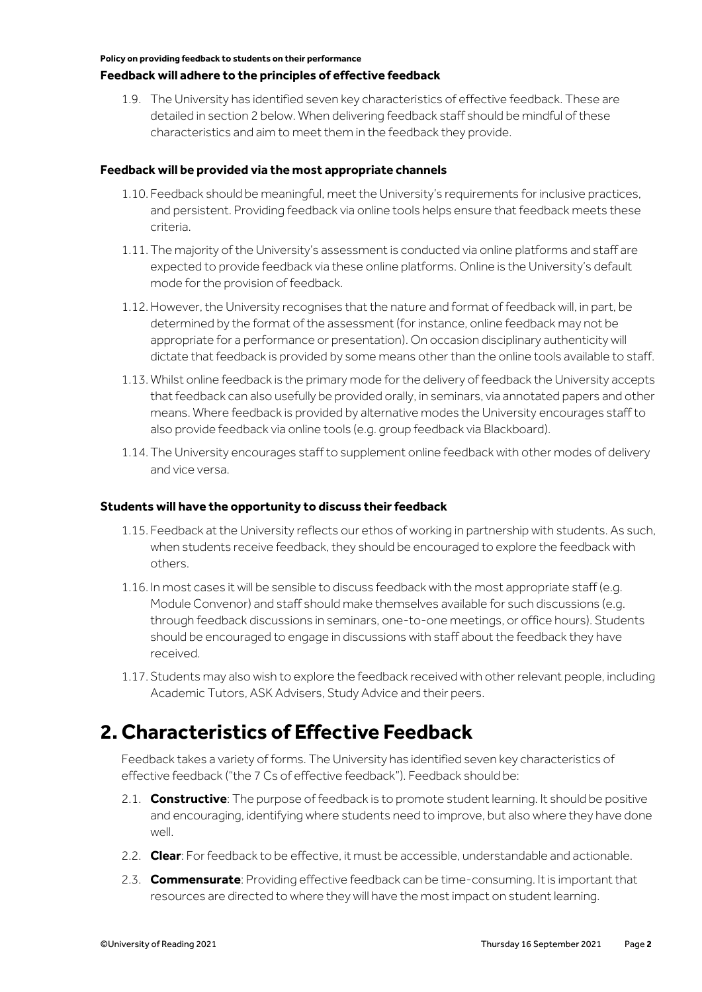#### **Feedback will adhere to the principles of effective feedback**

1.9. The University has identified seven key characteristics of effective feedback. These are detailed in section 2 below. When delivering feedback staff should be mindful of these characteristics and aim to meet them in the feedback they provide.

### **Feedback will be provided via the most appropriate channels**

- 1.10. Feedback should be meaningful, meet the University's requirements for inclusive practices, and persistent. Providing feedback via online tools helps ensure that feedback meets these criteria.
- 1.11. The majority of the University's assessment is conducted via online platforms and staff are expected to provide feedback via these online platforms. Online is the University's default mode for the provision of feedback.
- 1.12.However, the University recognises that the nature and format of feedback will, in part, be determined by the format of the assessment (for instance, online feedback may not be appropriate for a performance or presentation). On occasion disciplinary authenticity will dictate that feedback is provided by some means other than the online tools available to staff.
- 1.13. Whilst online feedback is the primary mode for the delivery of feedback the University accepts that feedback can also usefully be provided orally, in seminars, via annotated papers and other means. Where feedback is provided by alternative modes the University encourages staff to also provide feedback via online tools (e.g. group feedback via Blackboard).
- 1.14. The University encourages staff to supplement online feedback with other modes of delivery and vice versa.

#### **Students will have the opportunity to discuss their feedback**

- 1.15. Feedback at the University reflects our ethos of working in partnership with students. As such, when students receive feedback, they should be encouraged to explore the feedback with others.
- 1.16. In most cases it will be sensible to discuss feedback with the most appropriate staff (e.g. Module Convenor) and staff should make themselves available for such discussions (e.g. through feedback discussions in seminars, one-to-one meetings, or office hours). Students should be encouraged to engage in discussions with staff about the feedback they have received.
- 1.17. Students may also wish to explore the feedback received with other relevant people, including Academic Tutors, ASK Advisers, Study Advice and their peers.

## **2. Characteristics of Effective Feedback**

Feedback takes a variety of forms. The University has identified seven key characteristics of effective feedback ("the 7 Cs of effective feedback"). Feedback should be:

- 2.1. **Constructive**: The purpose of feedback is to promote student learning. It should be positive and encouraging, identifying where students need to improve, but also where they have done well.
- 2.2. **Clear**: For feedback to be effective, it must be accessible, understandable and actionable.
- 2.3. **Commensurate**: Providing effective feedback can be time-consuming. It is important that resources are directed to where they will have the most impact on student learning.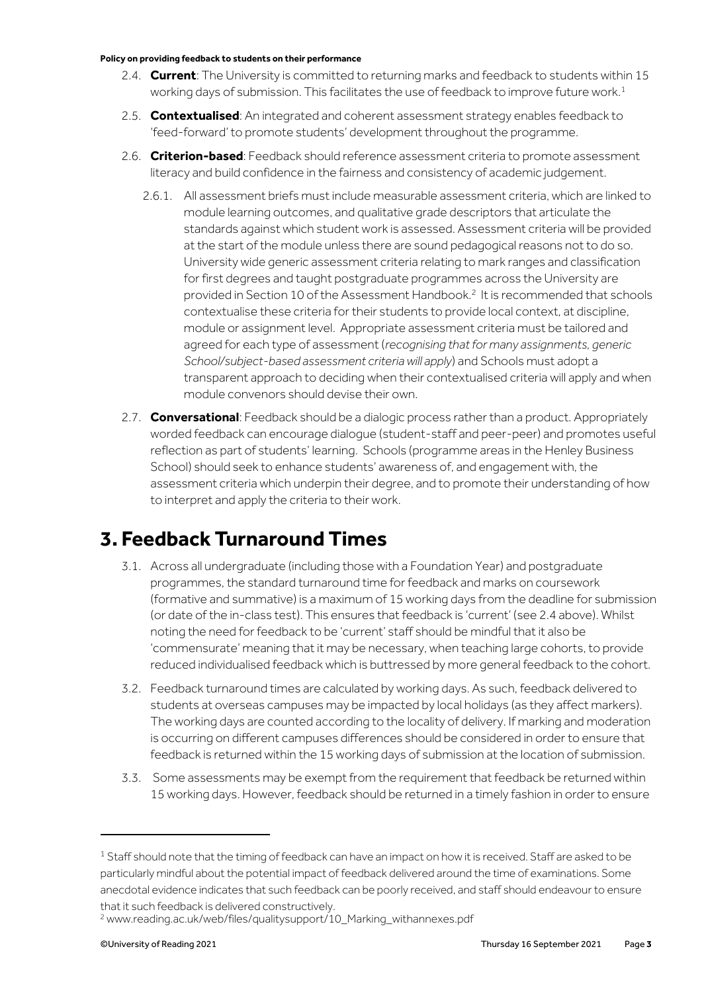- 2.4. **Current**: The University is committed to returning marks and feedback to students within 15 working days of submission. This facilitates the use of feedback to improve future work.<sup>1</sup>
- 2.5. **Contextualised**: An integrated and coherent assessment strategy enables feedback to 'feed-forward' to promote students' development throughout the programme.
- 2.6. **Criterion-based**: Feedback should reference assessment criteria to promote assessment literacy and build confidence in the fairness and consistency of academic judgement.
	- 2.6.1. All assessment briefs must include measurable assessment criteria, which are linked to module learning outcomes, and qualitative grade descriptors that articulate the standards against which student work is assessed. Assessment criteria will be provided at the start of the module unless there are sound pedagogical reasons not to do so. University wide generic assessment criteria relating to mark ranges and classification for first degrees and taught postgraduate programmes across the University are provided in Section 10 of the Assessment Handbook.<sup>2</sup> It is recommended that schools contextualise these criteria for their students to provide local context, at discipline, module or assignment level. Appropriate assessment criteria must be tailored and agreed for each type of assessment (*recognising that for many assignments, generic School/subject-based assessment criteria will apply*) and Schools must adopt a transparent approach to deciding when their contextualised criteria will apply and when module convenors should devise their own.
- 2.7. **Conversational**: Feedback should be a dialogic process rather than a product. Appropriately worded feedback can encourage dialogue (student-staff and peer-peer) and promotes useful reflection as part of students' learning. Schools (programme areas in the Henley Business School) should seek to enhance students' awareness of, and engagement with, the assessment criteria which underpin their degree, and to promote their understanding of how to interpret and apply the criteria to their work.

## **3. Feedback Turnaround Times**

- 3.1. Across all undergraduate (including those with a Foundation Year) and postgraduate programmes, the standard turnaround time for feedback and marks on coursework (formative and summative) is a maximum of 15 working days from the deadline for submission (or date of the in-class test). This ensures that feedback is 'current' (see 2.4 above). Whilst noting the need for feedback to be 'current' staff should be mindful that it also be 'commensurate' meaning that it may be necessary, when teaching large cohorts, to provide reduced individualised feedback which is buttressed by more general feedback to the cohort.
- 3.2. Feedback turnaround times are calculated by working days. As such, feedback delivered to students at overseas campuses may be impacted by local holidays (as they affect markers). The working days are counted according to the locality of delivery. If marking and moderation is occurring on different campuses differences should be considered in order to ensure that feedback is returned within the 15 working days of submission at the location of submission.
- 3.3. Some assessments may be exempt from the requirement that feedback be returned within 15 working days. However, feedback should be returned in a timely fashion in order to ensure

 $1$  Staff should note that the timing of feedback can have an impact on how it is received. Staff are asked to be particularly mindful about the potential impact of feedback delivered around the time of examinations. Some anecdotal evidence indicates that such feedback can be poorly received, and staff should endeavour to ensure that it such feedback is delivered constructively.

<sup>2</sup> www.reading.ac.uk/web/files/qualitysupport/10\_Marking\_withannexes.pdf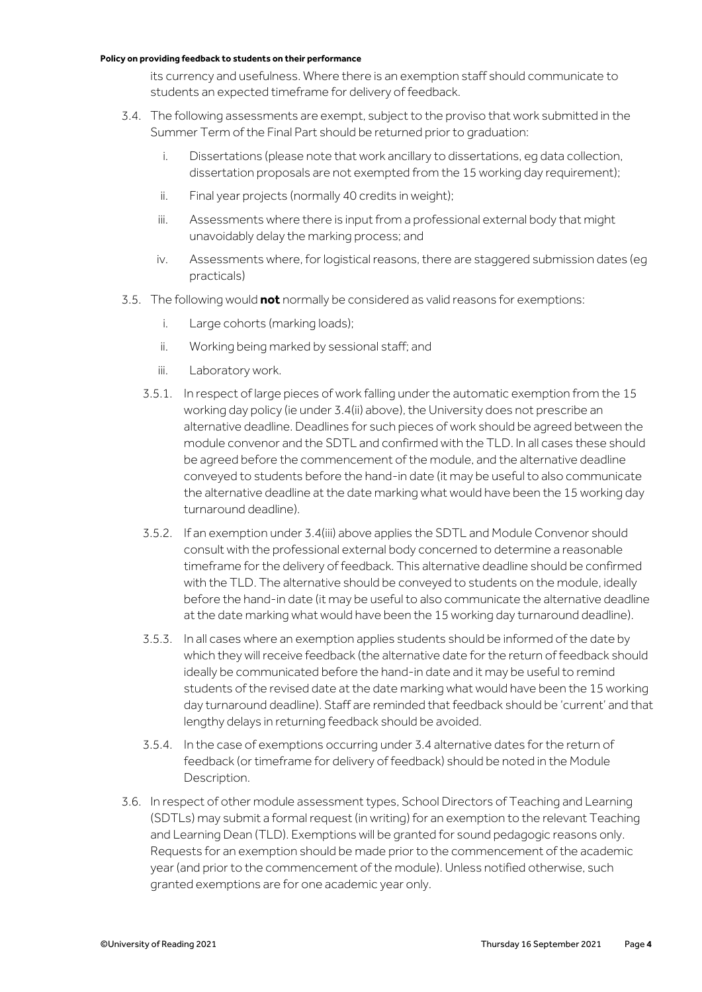its currency and usefulness. Where there is an exemption staff should communicate to students an expected timeframe for delivery of feedback.

- 3.4. The following assessments are exempt, subject to the proviso that work submitted in the Summer Term of the Final Part should be returned prior to graduation:
	- i. Dissertations (please note that work ancillary to dissertations, eg data collection, dissertation proposals are not exempted from the 15 working day requirement);
	- ii. Final year projects (normally 40 credits in weight);
	- iii. Assessments where there is input from a professional external body that might unavoidably delay the marking process; and
	- iv. Assessments where, for logistical reasons, there are staggered submission dates (eg practicals)
- 3.5. The following would **not** normally be considered as valid reasons for exemptions:
	- i. Large cohorts (marking loads);
	- ii. Working being marked by sessional staff; and
	- iii. Laboratory work.
	- 3.5.1. In respect of large pieces of work falling under the automatic exemption from the 15 working day policy (ie under 3.4(ii) above), the University does not prescribe an alternative deadline. Deadlines for such pieces of work should be agreed between the module convenor and the SDTL and confirmed with the TLD. In all cases these should be agreed before the commencement of the module, and the alternative deadline conveyed to students before the hand-in date (it may be useful to also communicate the alternative deadline at the date marking what would have been the 15 working day turnaround deadline).
	- 3.5.2. If an exemption under 3.4(iii) above applies the SDTL and Module Convenor should consult with the professional external body concerned to determine a reasonable timeframe for the delivery of feedback. This alternative deadline should be confirmed with the TLD. The alternative should be conveyed to students on the module, ideally before the hand-in date (it may be useful to also communicate the alternative deadline at the date marking what would have been the 15 working day turnaround deadline).
	- 3.5.3. In all cases where an exemption applies students should be informed of the date by which they will receive feedback (the alternative date for the return of feedback should ideally be communicated before the hand-in date and it may be useful to remind students of the revised date at the date marking what would have been the 15 working day turnaround deadline). Staff are reminded that feedback should be 'current' and that lengthy delays in returning feedback should be avoided.
	- 3.5.4. In the case of exemptions occurring under 3.4 alternative dates for the return of feedback (or timeframe for delivery of feedback) should be noted in the Module Description.
- 3.6. In respect of other module assessment types, School Directors of Teaching and Learning (SDTLs) may submit a formal request (in writing) for an exemption to the relevant Teaching and Learning Dean (TLD). Exemptions will be granted for sound pedagogic reasons only. Requests for an exemption should be made prior to the commencement of the academic year (and prior to the commencement of the module). Unless notified otherwise, such granted exemptions are for one academic year only.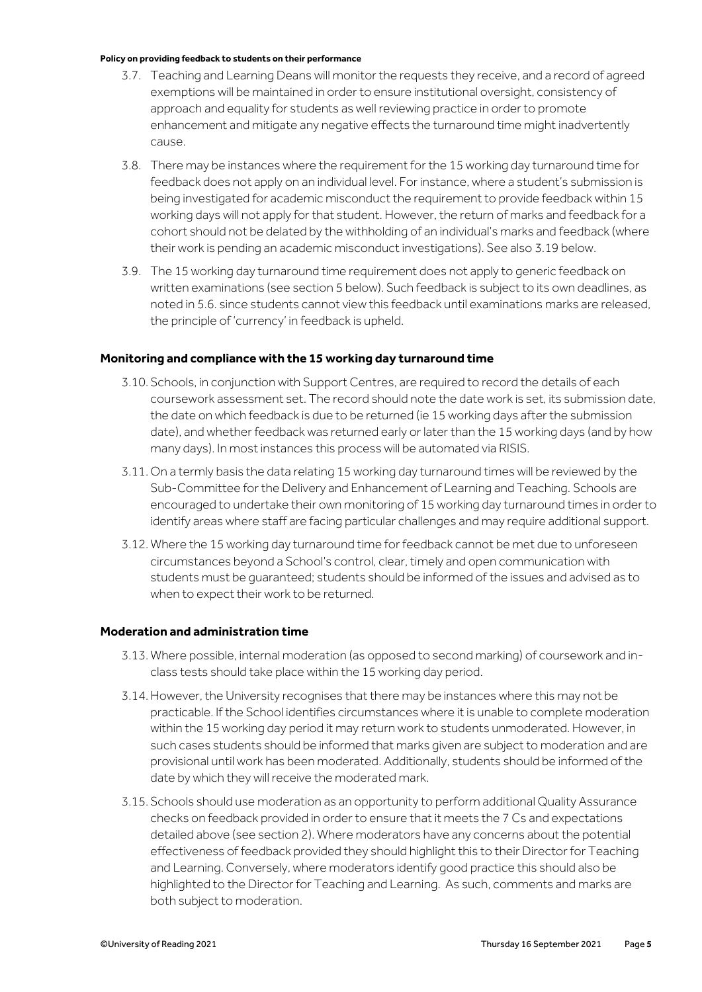- 3.7. Teaching and Learning Deans will monitor the requests they receive, and a record of agreed exemptions will be maintained in order to ensure institutional oversight, consistency of approach and equality for students as well reviewing practice in order to promote enhancement and mitigate any negative effects the turnaround time might inadvertently cause.
- 3.8. There may be instances where the requirement for the 15 working day turnaround time for feedback does not apply on an individual level. For instance, where a student's submission is being investigated for academic misconduct the requirement to provide feedback within 15 working days will not apply for that student. However, the return of marks and feedback for a cohort should not be delated by the withholding of an individual's marks and feedback (where their work is pending an academic misconduct investigations). See also 3.19 below.
- 3.9. The 15 working day turnaround time requirement does not apply to generic feedback on written examinations (see section 5 below). Such feedback is subject to its own deadlines, as noted in 5.6. since students cannot view this feedback until examinations marks are released, the principle of 'currency' in feedback is upheld.

### **Monitoring and compliance with the 15 working day turnaround time**

- 3.10. Schools, in conjunction with Support Centres, are required to record the details of each coursework assessment set. The record should note the date work is set, its submission date, the date on which feedback is due to be returned (ie 15 working days after the submission date), and whether feedback was returned early or later than the 15 working days (and by how many days). In most instances this process will be automated via RISIS.
- 3.11. On a termly basis the data relating 15 working day turnaround times will be reviewed by the Sub-Committee for the Delivery and Enhancement of Learning and Teaching. Schools are encouraged to undertake their own monitoring of 15 working day turnaround times in order to identify areas where staff are facing particular challenges and may require additional support.
- 3.12. Where the 15 working day turnaround time for feedback cannot be met due to unforeseen circumstances beyond a School's control, clear, timely and open communication with students must be guaranteed; students should be informed of the issues and advised as to when to expect their work to be returned.

### **Moderation and administration time**

- 3.13. Where possible, internal moderation (as opposed to second marking) of coursework and inclass tests should take place within the 15 working day period.
- 3.14.However, the University recognises that there may be instances where this may not be practicable. If the School identifies circumstances where it is unable to complete moderation within the 15 working day period it may return work to students unmoderated. However, in such cases students should be informed that marks given are subject to moderation and are provisional until work has been moderated. Additionally, students should be informed of the date by which they will receive the moderated mark.
- 3.15. Schools should use moderation as an opportunity to perform additional Quality Assurance checks on feedback provided in order to ensure that it meets the 7 Cs and expectations detailed above (see section 2). Where moderators have any concerns about the potential effectiveness of feedback provided they should highlight this to their Director for Teaching and Learning. Conversely, where moderators identify good practice this should also be highlighted to the Director for Teaching and Learning. As such, comments and marks are both subject to moderation.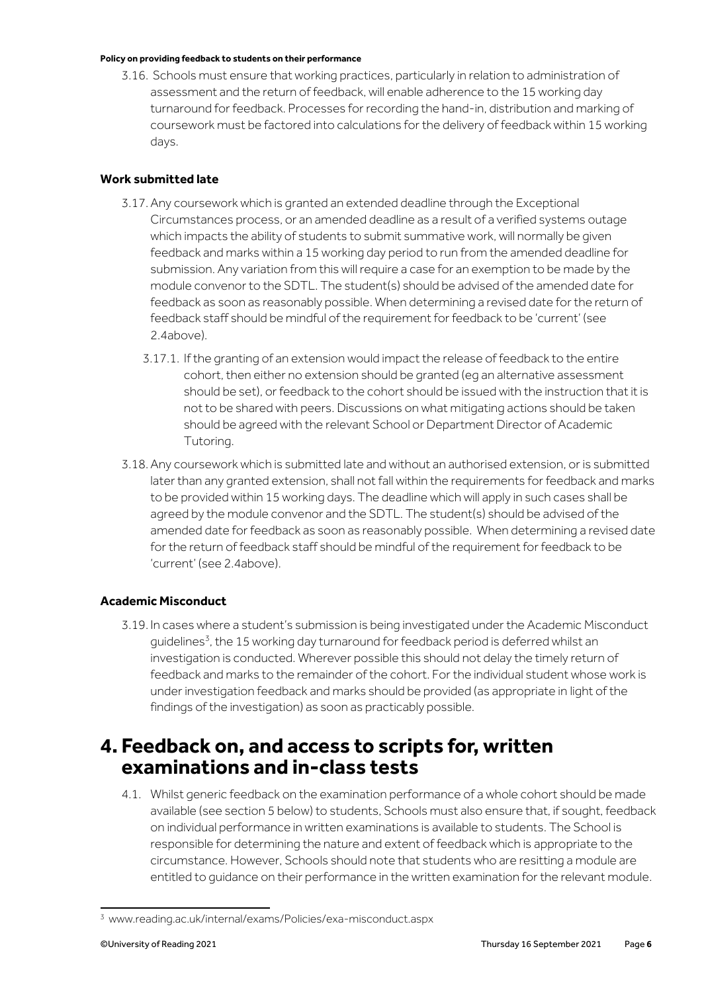3.16. Schools must ensure that working practices, particularly in relation to administration of assessment and the return of feedback, will enable adherence to the 15 working day turnaround for feedback. Processes for recording the hand-in, distribution and marking of coursework must be factored into calculations for the delivery of feedback within 15 working days.

## **Work submitted late**

- 3.17.Any coursework which is granted an extended deadline through the Exceptional Circumstances process, or an amended deadline as a result of a verified systems outage which impacts the ability of students to submit summative work, will normally be given feedback and marks within a 15 working day period to run from the amended deadline for submission. Any variation from this will require a case for an exemption to be made by the module convenor to the SDTL. The student(s) should be advised of the amended date for feedback as soon as reasonably possible. When determining a revised date for the return of feedback staff should be mindful of the requirement for feedback to be 'current' (see 2.4above).
	- 3.17.1. If the granting of an extension would impact the release of feedback to the entire cohort, then either no extension should be granted (eg an alternative assessment should be set), or feedback to the cohort should be issued with the instruction that it is not to be shared with peers. Discussions on what mitigating actions should be taken should be agreed with the relevant School or Department Director of Academic Tutoring.
- 3.18.Any coursework which is submitted late and without an authorised extension, or is submitted later than any granted extension, shall not fall within the requirements for feedback and marks to be provided within 15 working days. The deadline which will apply in such cases shall be agreed by the module convenor and the SDTL. The student(s) should be advised of the amended date for feedback as soon as reasonably possible. When determining a revised date for the return of feedback staff should be mindful of the requirement for feedback to be 'current' (see 2.4above).

## **Academic Misconduct**

3.19. In cases where a student's submission is being investigated under the Academic Misconduct guidelines<sup>3</sup>, the 15 working day turnaround for feedback period is deferred whilst an investigation is conducted. Wherever possible this should not delay the timely return of feedback and marks to the remainder of the cohort. For the individual student whose work is under investigation feedback and marks should be provided (as appropriate in light of the findings of the investigation) as soon as practicably possible.

## **4. Feedback on, and access to scripts for, written examinations and in-class tests**

4.1. Whilst generic feedback on the examination performance of a whole cohort should be made available (see section 5 below) to students, Schools must also ensure that, if sought, feedback on individual performance in written examinations is available to students. The School is responsible for determining the nature and extent of feedback which is appropriate to the circumstance. However, Schools should note that students who are resitting a module are entitled to guidance on their performance in the written examination for the relevant module.

<sup>3</sup> www.reading.ac.uk/internal/exams/Policies/exa-misconduct.aspx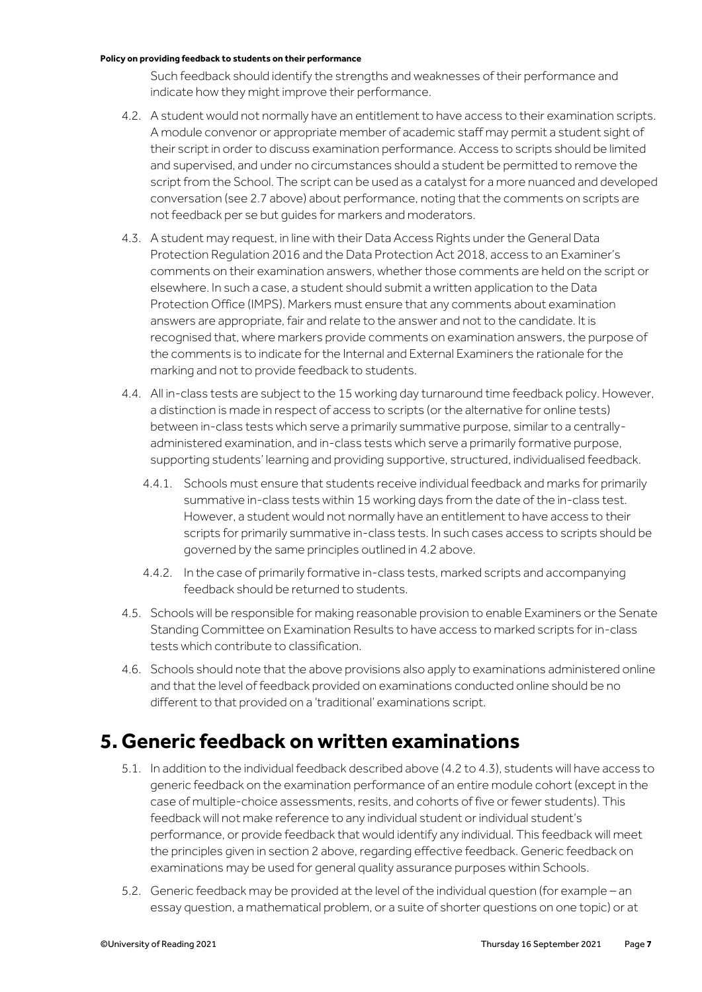Such feedback should identify the strengths and weaknesses of their performance and indicate how they might improve their performance.

- 4.2. A student would not normally have an entitlement to have access to their examination scripts. A module convenor or appropriate member of academic staff may permit a student sight of their script in order to discuss examination performance. Access to scripts should be limited and supervised, and under no circumstances should a student be permitted to remove the script from the School. The script can be used as a catalyst for a more nuanced and developed conversation (see 2.7 above) about performance, noting that the comments on scripts are not feedback per se but guides for markers and moderators.
- 4.3. A student may request, in line with their Data Access Rights under the General Data Protection Regulation 2016 and the Data Protection Act 2018, access to an Examiner's comments on their examination answers, whether those comments are held on the script or elsewhere. In such a case, a student should submit a written application to the Data Protection Office (IMPS). Markers must ensure that any comments about examination answers are appropriate, fair and relate to the answer and not to the candidate. It is recognised that, where markers provide comments on examination answers, the purpose of the comments is to indicate for the Internal and External Examiners the rationale for the marking and not to provide feedback to students.
- 4.4. All in-class tests are subject to the 15 working day turnaround time feedback policy. However, a distinction is made in respect of access to scripts (or the alternative for online tests) between in-class tests which serve a primarily summative purpose, similar to a centrallyadministered examination, and in-class tests which serve a primarily formative purpose, supporting students' learning and providing supportive, structured, individualised feedback.
	- 4.4.1. Schools must ensure that students receive individual feedback and marks for primarily summative in-class tests within 15 working days from the date of the in-class test. However, a student would not normally have an entitlement to have access to their scripts for primarily summative in-class tests. In such cases access to scripts should be governed by the same principles outlined in 4.2 above.
	- 4.4.2. In the case of primarily formative in-class tests, marked scripts and accompanying feedback should be returned to students.
- 4.5. Schools will be responsible for making reasonable provision to enable Examiners or the Senate Standing Committee on Examination Results to have access to marked scripts for in-class tests which contribute to classification.
- 4.6. Schools should note that the above provisions also apply to examinations administered online and that the level of feedback provided on examinations conducted online should be no different to that provided on a 'traditional' examinations script.

## **5. Generic feedback on written examinations**

- 5.1. In addition to the individual feedback described above (4.2 to 4.3), students will have access to generic feedback on the examination performance of an entire module cohort (except in the case of multiple-choice assessments, resits, and cohorts of five or fewer students). This feedback will not make reference to any individual student or individual student's performance, or provide feedback that would identify any individual. This feedback will meet the principles given in section 2 above, regarding effective feedback. Generic feedback on examinations may be used for general quality assurance purposes within Schools.
- 5.2. Generic feedback may be provided at the level of the individual question (for example an essay question, a mathematical problem, or a suite of shorter questions on one topic) or at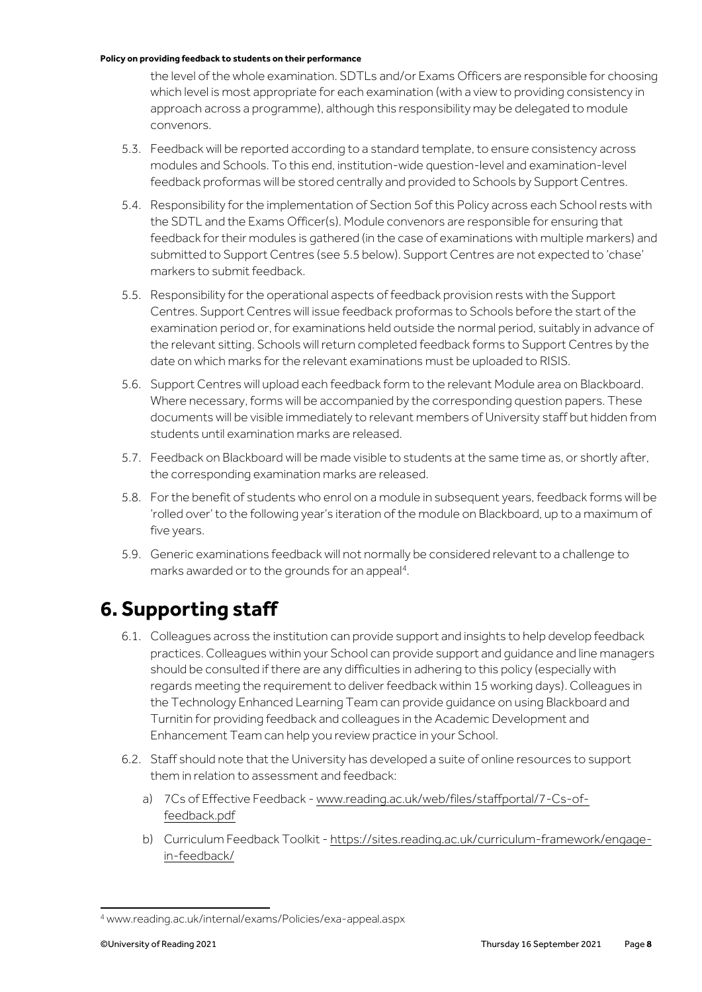the level of the whole examination. SDTLs and/or Exams Officers are responsible for choosing which level is most appropriate for each examination (with a view to providing consistency in approach across a programme), although this responsibility may be delegated to module convenors.

- 5.3. Feedback will be reported according to a standard template, to ensure consistency across modules and Schools. To this end, institution-wide question-level and examination-level feedback proformas will be stored centrally and provided to Schools by Support Centres.
- 5.4. Responsibility for the implementation of Section 5of this Policy across each School rests with the SDTL and the Exams Officer(s). Module convenors are responsible for ensuring that feedback for their modules is gathered (in the case of examinations with multiple markers) and submitted to Support Centres (see 5.5 below). Support Centres are not expected to 'chase' markers to submit feedback.
- 5.5. Responsibility for the operational aspects of feedback provision rests with the Support Centres. Support Centres will issue feedback proformas to Schools before the start of the examination period or, for examinations held outside the normal period, suitably in advance of the relevant sitting. Schools will return completed feedback forms to Support Centres by the date on which marks for the relevant examinations must be uploaded to RISIS.
- 5.6. Support Centres will upload each feedback form to the relevant Module area on Blackboard. Where necessary, forms will be accompanied by the corresponding question papers. These documents will be visible immediately to relevant members of University staff but hidden from students until examination marks are released.
- 5.7. Feedback on Blackboard will be made visible to students at the same time as, or shortly after, the corresponding examination marks are released.
- 5.8. For the benefit of students who enrol on a module in subsequent years, feedback forms will be 'rolled over' to the following year's iteration of the module on Blackboard, up to a maximum of five years.
- 5.9. Generic examinations feedback will not normally be considered relevant to a challenge to marks awarded or to the grounds for an appeal<sup>4</sup>.

## **6. Supporting staff**

- 6.1. Colleagues across the institution can provide support and insights to help develop feedback practices. Colleagues within your School can provide support and guidance and line managers should be consulted if there are any difficulties in adhering to this policy (especially with regards meeting the requirement to deliver feedback within 15 working days). Colleagues in the Technology Enhanced Learning Team can provide guidance on using Blackboard and Turnitin for providing feedback and colleagues in the Academic Development and Enhancement Team can help you review practice in your School.
- 6.2. Staff should note that the University has developed a suite of online resources to support them in relation to assessment and feedback:
	- a) 7Cs of Effective Feedback [www.reading.ac.uk/web/files/staffportal/7-Cs-of](https://www.reading.ac.uk/web/files/staffportal/7-Cs-of-feedback.pdf)[feedback.pdf](https://www.reading.ac.uk/web/files/staffportal/7-Cs-of-feedback.pdf)
	- b) Curriculum Feedback Toolkit [https://sites.reading.ac.uk/curriculum-framework/engage](https://sites.reading.ac.uk/curriculum-framework/engage-in-feedback/)[in-feedback/](https://sites.reading.ac.uk/curriculum-framework/engage-in-feedback/)

<sup>4</sup> www.reading.ac.uk/internal/exams/Policies/exa-appeal.aspx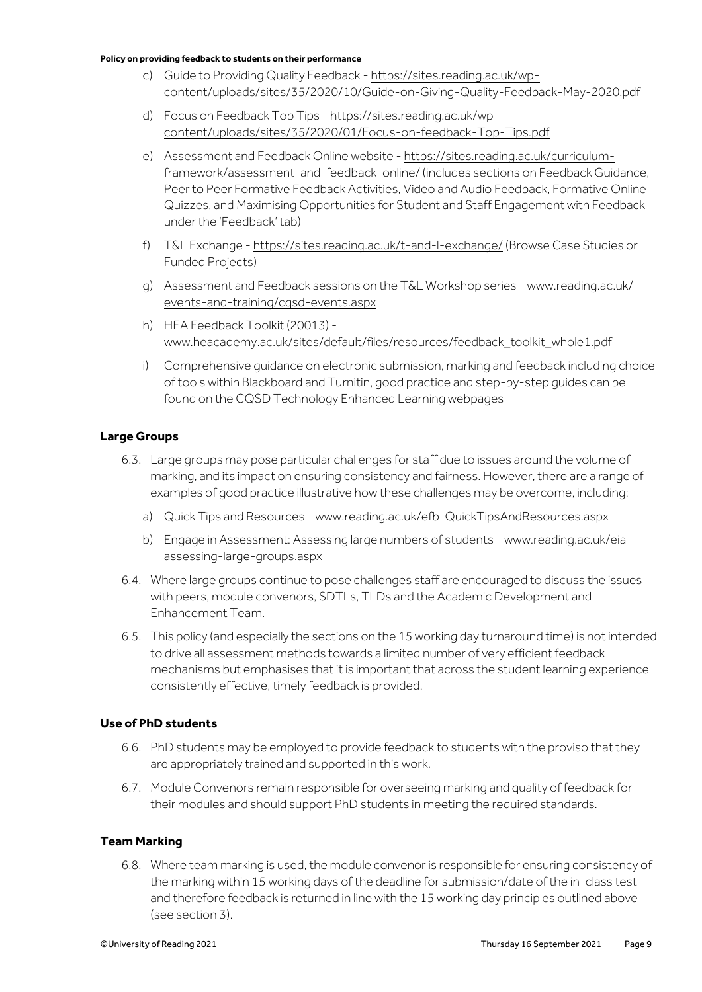- c) Guide to Providing Quality Feedback [https://sites.reading.ac.uk/wp](https://sites.reading.ac.uk/wp-content/uploads/sites/35/2020/10/Guide-on-Giving-Quality-Feedback-May-2020.pdf)[content/uploads/sites/35/2020/10/Guide-on-Giving-Quality-Feedback-May-2020.pdf](https://sites.reading.ac.uk/wp-content/uploads/sites/35/2020/10/Guide-on-Giving-Quality-Feedback-May-2020.pdf)
- d) Focus on Feedback Top Tips [https://sites.reading.ac.uk/wp](https://sites.reading.ac.uk/wp-content/uploads/sites/35/2020/01/Focus-on-feedback-Top-Tips.pdf)[content/uploads/sites/35/2020/01/Focus-on-feedback-Top-Tips.pdf](https://sites.reading.ac.uk/wp-content/uploads/sites/35/2020/01/Focus-on-feedback-Top-Tips.pdf)
- e) Assessment and Feedback Online website [https://sites.reading.ac.uk/curriculum](https://sites.reading.ac.uk/curriculum-framework/assessment-and-feedback-online/)[framework/assessment-and-feedback-online/\(](https://sites.reading.ac.uk/curriculum-framework/assessment-and-feedback-online/)includes sections on Feedback Guidance, Peer to Peer Formative Feedback Activities, Video and Audio Feedback, Formative Online Quizzes, and Maximising Opportunities for Student and Staff Engagement with Feedback under the 'Feedback' tab)
- f) T&L Exchange [https://sites.reading.ac.uk/t-and-l-exchange/\(](https://sites.reading.ac.uk/t-and-l-exchange/)Browse Case Studies or Funded Projects)
- g) Assessment and Feedback sessions on the T&L Workshop series [www.reading.ac.uk/](http://www.reading.ac.uk/reading-cqsd/Developing-and-enhancing/events-and-training/cqsd-events.aspx)  [events-and-training/cqsd-events.aspx](http://www.reading.ac.uk/reading-cqsd/Developing-and-enhancing/events-and-training/cqsd-events.aspx)
- h) HEA Feedback Toolkit (20013) [www.heacademy.ac.uk/sites/default/files/resources/feedback\\_toolkit\\_whole1.pdf](https://www.heacademy.ac.uk/sites/default/files/resources/feedback_toolkit_whole1.pdf)
- i) Comprehensive guidance on electronic submission, marking and feedback including choice of tools within Blackboard and Turnitin, good practice and step-by-step guides can be found on the CQSD Technology Enhanced Learning webpages

### **Large Groups**

- 6.3. Large groups may pose particular challenges for staff due to issues around the volume of marking, and its impact on ensuring consistency and fairness. However, there are a range of examples of good practice illustrative how these challenges may be overcome, including:
	- a) Quick Tips and Resources [www.reading.ac.uk/efb-QuickTipsAndResources.aspx](http://www.reading.ac.uk/efb-QuickTipsAndResources.aspx)
	- b) Engage in Assessment: Assessing large numbers of students [www.reading.ac.uk/eia](http://www.reading.ac.uk/eia-assessing-large-groups.aspx)[assessing-large-groups.aspx](http://www.reading.ac.uk/eia-assessing-large-groups.aspx)
- 6.4. Where large groups continue to pose challenges staff are encouraged to discuss the issues with peers, module convenors, SDTLs, TLDs and the Academic Development and Enhancement Team.
- 6.5. This policy (and especially the sections on the 15 working day turnaround time) is not intended to drive all assessment methods towards a limited number of very efficient feedback mechanisms but emphasises that it is important that across the student learning experience consistently effective, timely feedback is provided.

### **Use of PhD students**

- 6.6. PhD students may be employed to provide feedback to students with the proviso that they are appropriately trained and supported in this work.
- 6.7. Module Convenors remain responsible for overseeing marking and quality of feedback for their modules and should support PhD students in meeting the required standards.

#### **Team Marking**

6.8. Where team marking is used, the module convenor is responsible for ensuring consistency of the marking within 15 working days of the deadline for submission/date of the in-class test and therefore feedback is returned in line with the 15 working day principles outlined above (see section 3).